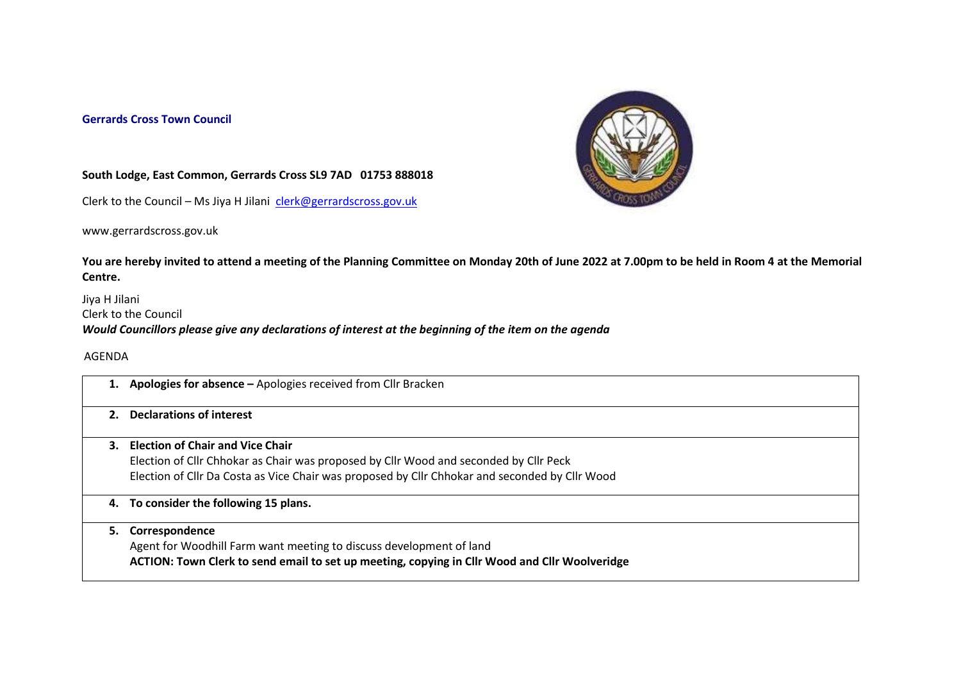## **Gerrards Cross Town Council**



## **South Lodge, East Common, Gerrards Cross SL9 7AD 01753 888018**

Clerk to the Council – Ms Jiya H Jilani [clerk@gerrardscross.gov.uk](mailto:clerk@gerrardscross.gov.uk)

www.gerrardscross.gov.uk

**You are hereby invited to attend a meeting of the Planning Committee on Monday 20th of June 2022 at 7.00pm to be held in Room 4 at the Memorial Centre.** 

Jiya H Jilani Clerk to the Council *Would Councillors please give any declarations of interest at the beginning of the item on the agenda*

AGENDA

|    | 1. Apologies for absence - Apologies received from Cllr Bracken                                                                                                                                                                |
|----|--------------------------------------------------------------------------------------------------------------------------------------------------------------------------------------------------------------------------------|
| 2. | <b>Declarations of interest</b>                                                                                                                                                                                                |
|    | 3. Election of Chair and Vice Chair<br>Election of Cllr Chhokar as Chair was proposed by Cllr Wood and seconded by Cllr Peck<br>Election of Cllr Da Costa as Vice Chair was proposed by Cllr Chhokar and seconded by Cllr Wood |
|    | 4. To consider the following 15 plans.                                                                                                                                                                                         |
| 5. | Correspondence<br>Agent for Woodhill Farm want meeting to discuss development of land<br>ACTION: Town Clerk to send email to set up meeting, copying in Cllr Wood and Cllr Woolveridge                                         |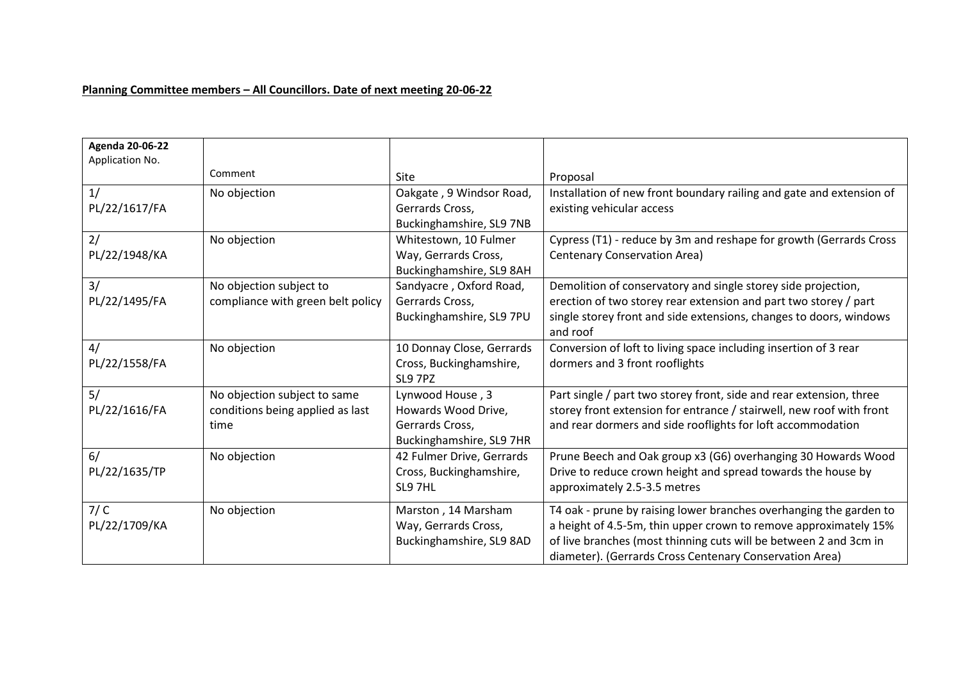## **Planning Committee members – All Councillors. Date of next meeting 20-06-22**

| <b>Agenda 20-06-22</b> |                                   |                           |                                                                                |
|------------------------|-----------------------------------|---------------------------|--------------------------------------------------------------------------------|
| Application No.        | Comment                           |                           |                                                                                |
|                        |                                   | Site                      | Proposal                                                                       |
| 1/                     | No objection                      | Oakgate, 9 Windsor Road,  | Installation of new front boundary railing and gate and extension of           |
| PL/22/1617/FA          |                                   | Gerrards Cross,           | existing vehicular access                                                      |
|                        |                                   | Buckinghamshire, SL9 7NB  |                                                                                |
| 2/                     | No objection                      | Whitestown, 10 Fulmer     | Cypress (T1) - reduce by 3m and reshape for growth (Gerrards Cross             |
| PL/22/1948/KA          |                                   | Way, Gerrards Cross,      | <b>Centenary Conservation Area)</b>                                            |
|                        |                                   | Buckinghamshire, SL9 8AH  |                                                                                |
| 3/                     | No objection subject to           | Sandyacre, Oxford Road,   | Demolition of conservatory and single storey side projection,                  |
| PL/22/1495/FA          | compliance with green belt policy | Gerrards Cross,           | erection of two storey rear extension and part two storey / part               |
|                        |                                   | Buckinghamshire, SL9 7PU  | single storey front and side extensions, changes to doors, windows<br>and roof |
| 4/                     | No objection                      | 10 Donnay Close, Gerrards | Conversion of loft to living space including insertion of 3 rear               |
| PL/22/1558/FA          |                                   | Cross, Buckinghamshire,   | dormers and 3 front rooflights                                                 |
|                        |                                   | SL9 7PZ                   |                                                                                |
| 5/                     | No objection subject to same      | Lynwood House, 3          | Part single / part two storey front, side and rear extension, three            |
| PL/22/1616/FA          | conditions being applied as last  | Howards Wood Drive,       | storey front extension for entrance / stairwell, new roof with front           |
|                        | time                              | Gerrards Cross,           | and rear dormers and side rooflights for loft accommodation                    |
|                        |                                   | Buckinghamshire, SL9 7HR  |                                                                                |
| 6/                     | No objection                      | 42 Fulmer Drive, Gerrards | Prune Beech and Oak group x3 (G6) overhanging 30 Howards Wood                  |
| PL/22/1635/TP          |                                   | Cross, Buckinghamshire,   | Drive to reduce crown height and spread towards the house by                   |
|                        |                                   | SL9 7HL                   | approximately 2.5-3.5 metres                                                   |
| 7/C                    | No objection                      | Marston, 14 Marsham       | T4 oak - prune by raising lower branches overhanging the garden to             |
| PL/22/1709/KA          |                                   | Way, Gerrards Cross,      | a height of 4.5-5m, thin upper crown to remove approximately 15%               |
|                        |                                   | Buckinghamshire, SL9 8AD  | of live branches (most thinning cuts will be between 2 and 3cm in              |
|                        |                                   |                           | diameter). (Gerrards Cross Centenary Conservation Area)                        |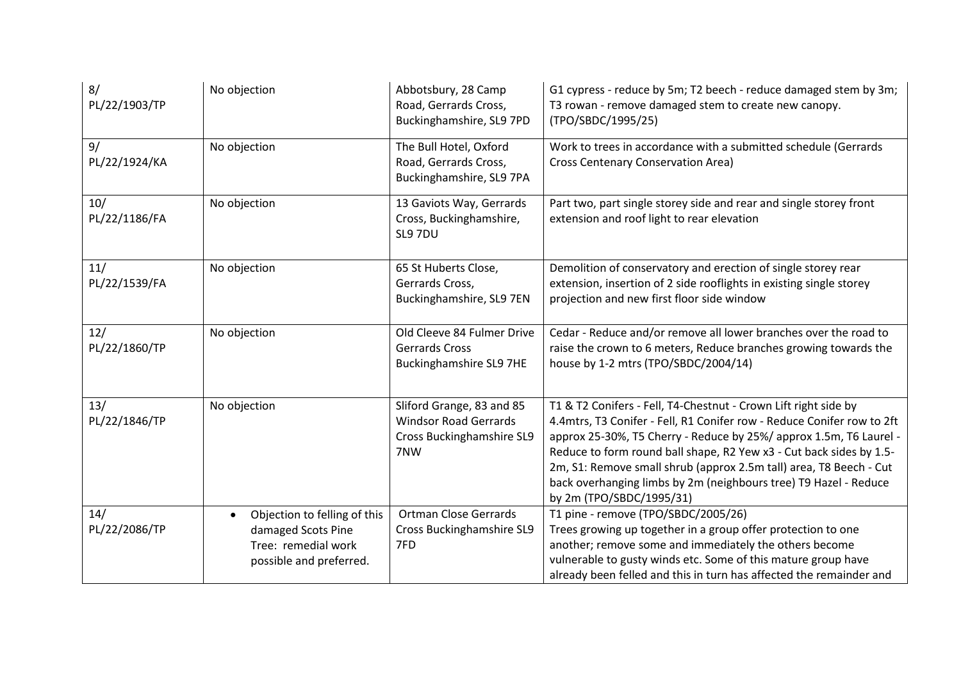| 8/<br>PL/22/1903/TP  | No objection                                                                                                      | Abbotsbury, 28 Camp<br>Road, Gerrards Cross,<br>Buckinghamshire, SL9 7PD                             | G1 cypress - reduce by 5m; T2 beech - reduce damaged stem by 3m;<br>T3 rowan - remove damaged stem to create new canopy.<br>(TPO/SBDC/1995/25)                                                                                                                                                                                                                                                                                                               |
|----------------------|-------------------------------------------------------------------------------------------------------------------|------------------------------------------------------------------------------------------------------|--------------------------------------------------------------------------------------------------------------------------------------------------------------------------------------------------------------------------------------------------------------------------------------------------------------------------------------------------------------------------------------------------------------------------------------------------------------|
| 9/<br>PL/22/1924/KA  | No objection                                                                                                      | The Bull Hotel, Oxford<br>Road, Gerrards Cross,<br>Buckinghamshire, SL9 7PA                          | Work to trees in accordance with a submitted schedule (Gerrards<br>Cross Centenary Conservation Area)                                                                                                                                                                                                                                                                                                                                                        |
| 10/<br>PL/22/1186/FA | No objection                                                                                                      | 13 Gaviots Way, Gerrards<br>Cross, Buckinghamshire,<br>SL9 7DU                                       | Part two, part single storey side and rear and single storey front<br>extension and roof light to rear elevation                                                                                                                                                                                                                                                                                                                                             |
| 11/<br>PL/22/1539/FA | No objection                                                                                                      | 65 St Huberts Close,<br>Gerrards Cross,<br>Buckinghamshire, SL9 7EN                                  | Demolition of conservatory and erection of single storey rear<br>extension, insertion of 2 side rooflights in existing single storey<br>projection and new first floor side window                                                                                                                                                                                                                                                                           |
| 12/<br>PL/22/1860/TP | No objection                                                                                                      | Old Cleeve 84 Fulmer Drive<br><b>Gerrards Cross</b><br><b>Buckinghamshire SL9 7HE</b>                | Cedar - Reduce and/or remove all lower branches over the road to<br>raise the crown to 6 meters, Reduce branches growing towards the<br>house by 1-2 mtrs (TPO/SBDC/2004/14)                                                                                                                                                                                                                                                                                 |
| 13/<br>PL/22/1846/TP | No objection                                                                                                      | Sliford Grange, 83 and 85<br><b>Windsor Road Gerrards</b><br><b>Cross Buckinghamshire SL9</b><br>7NW | T1 & T2 Conifers - Fell, T4-Chestnut - Crown Lift right side by<br>4.4mtrs, T3 Conifer - Fell, R1 Conifer row - Reduce Conifer row to 2ft<br>approx 25-30%, T5 Cherry - Reduce by 25%/ approx 1.5m, T6 Laurel -<br>Reduce to form round ball shape, R2 Yew x3 - Cut back sides by 1.5-<br>2m, S1: Remove small shrub (approx 2.5m tall) area, T8 Beech - Cut<br>back overhanging limbs by 2m (neighbours tree) T9 Hazel - Reduce<br>by 2m (TPO/SBDC/1995/31) |
| 14/<br>PL/22/2086/TP | Objection to felling of this<br>$\bullet$<br>damaged Scots Pine<br>Tree: remedial work<br>possible and preferred. | <b>Ortman Close Gerrards</b><br><b>Cross Buckinghamshire SL9</b><br>7FD                              | T1 pine - remove (TPO/SBDC/2005/26)<br>Trees growing up together in a group offer protection to one<br>another; remove some and immediately the others become<br>vulnerable to gusty winds etc. Some of this mature group have<br>already been felled and this in turn has affected the remainder and                                                                                                                                                        |